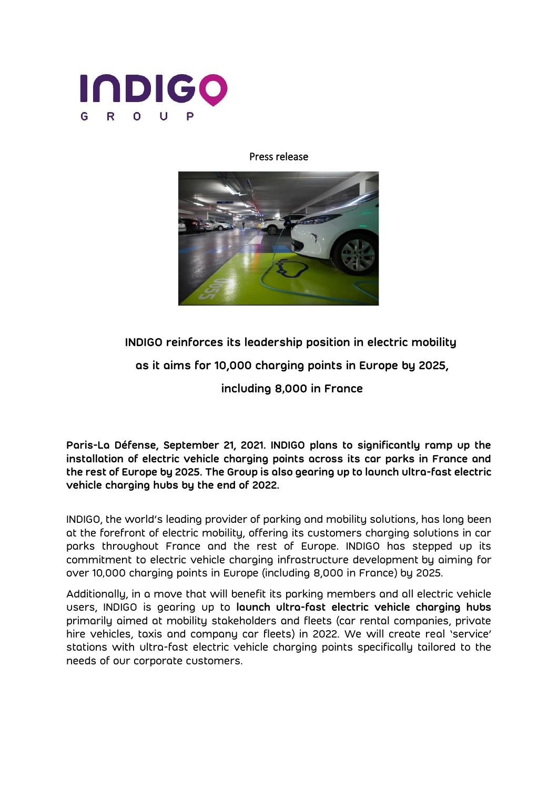

## Press release



**INDIGO reinforces its leadership position in electric mobility**

**as it aims for 10,000 charging points in Europe by 2025,** 

**including 8,000 in France**

**Paris-La Défense, September 21, 2021. INDIGO plans to significantly ramp up the installation of electric vehicle charging points across its car parks in France and the rest of Europe by 2025. The Group is also gearing up to launch ultra-fast electric vehicle charging hubs by the end of 2022.** 

INDIGO, the world's leading provider of parking and mobility solutions, has long been at the forefront of electric mobility, offering its customers charging solutions in car parks throughout France and the rest of Europe. INDIGO has stepped up its commitment to electric vehicle charging infrastructure development by aiming for over 10,000 charging points in Europe (including 8,000 in France) by 2025.

Additionally, in a move that will benefit its parking members and all electric vehicle users, INDIGO is gearing up to **launch ultra-fast electric vehicle charging hubs** primarily aimed at mobility stakeholders and fleets (car rental companies, private hire vehicles, taxis and company car fleets) in 2022. We will create real 'service' stations with ultra-fast electric vehicle charging points specifically tailored to the needs of our corporate customers.